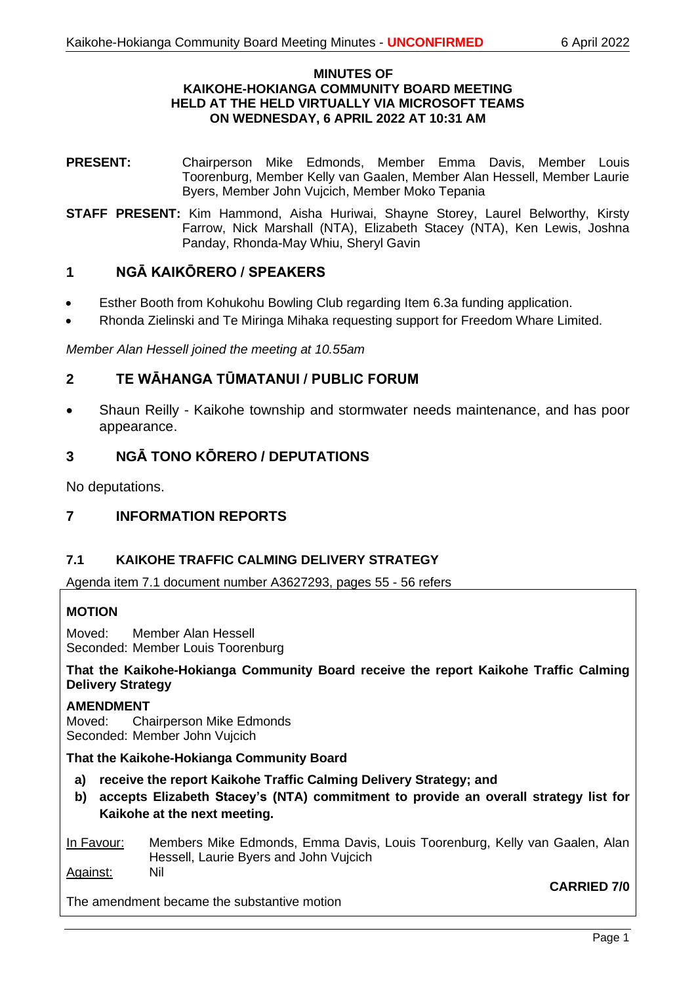### **MINUTES OF KAIKOHE-HOKIANGA COMMUNITY BOARD MEETING HELD AT THE HELD VIRTUALLY VIA MICROSOFT TEAMS ON WEDNESDAY, 6 APRIL 2022 AT 10:31 AM**

- **PRESENT:** Chairperson Mike Edmonds, Member Emma Davis, Member Louis Toorenburg, Member Kelly van Gaalen, Member Alan Hessell, Member Laurie Byers, Member John Vujcich, Member Moko Tepania
- **STAFF PRESENT:** Kim Hammond, Aisha Huriwai, Shayne Storey, Laurel Belworthy, Kirsty Farrow, Nick Marshall (NTA), Elizabeth Stacey (NTA), Ken Lewis, Joshna Panday, Rhonda-May Whiu, Sheryl Gavin

# **1 NGĀ KAIKŌRERO / SPEAKERS**

- Esther Booth from Kohukohu Bowling Club regarding Item 6.3a funding application.
- Rhonda Zielinski and Te Miringa Mihaka requesting support for Freedom Whare Limited.

*Member Alan Hessell joined the meeting at 10.55am*

# **2 TE WĀHANGA TŪMATANUI / PUBLIC FORUM**

• Shaun Reilly - Kaikohe township and stormwater needs maintenance, and has poor appearance.

# **3 NGĀ TONO KŌRERO / DEPUTATIONS**

No deputations.

# **7 INFORMATION REPORTS**

# **7.1 KAIKOHE TRAFFIC CALMING DELIVERY STRATEGY**

Agenda item 7.1 document number A3627293, pages 55 - 56 refers

# **MOTION**

Moved: Member Alan Hessell Seconded: Member Louis Toorenburg

**That the Kaikohe-Hokianga Community Board receive the report Kaikohe Traffic Calming Delivery Strategy**

### **AMENDMENT**

Moved: Chairperson Mike Edmonds Seconded: Member John Vujcich

# **That the Kaikohe-Hokianga Community Board**

- **a) receive the report Kaikohe Traffic Calming Delivery Strategy; and**
- **b) accepts Elizabeth Stacey's (NTA) commitment to provide an overall strategy list for Kaikohe at the next meeting.**

### In Favour: Members Mike Edmonds, Emma Davis, Louis Toorenburg, Kelly van Gaalen, Alan Hessell, Laurie Byers and John Vujcich Against: Nil

The amendment became the substantive motion

**CARRIED 7/0**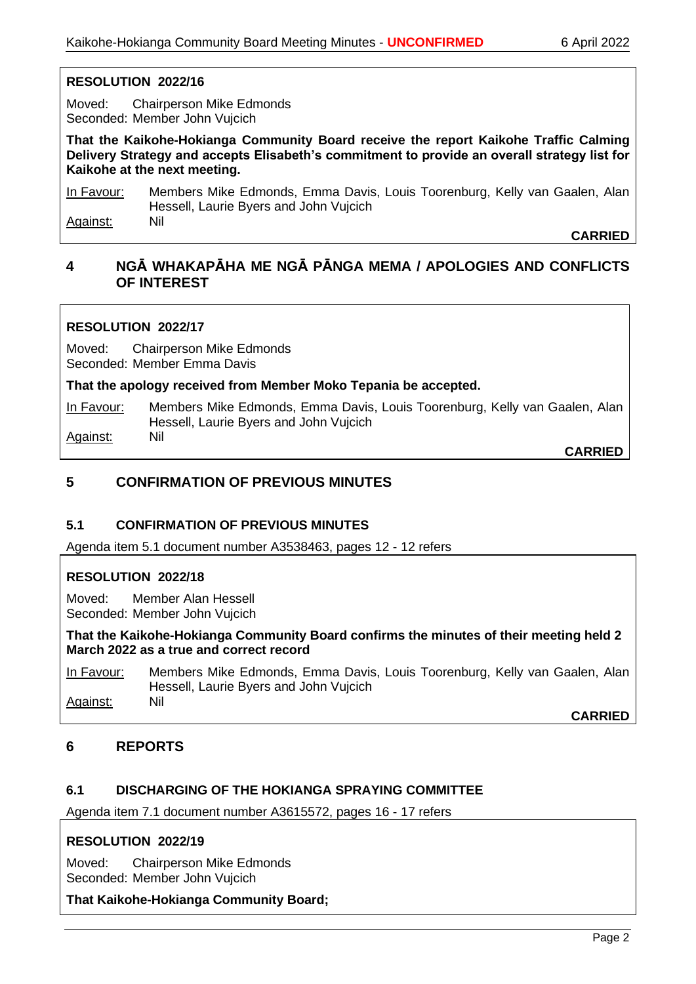# **RESOLUTION 2022/16**

Moved: Chairperson Mike Edmonds Seconded: Member John Vujcich

**That the Kaikohe-Hokianga Community Board receive the report Kaikohe Traffic Calming Delivery Strategy and accepts Elisabeth's commitment to provide an overall strategy list for Kaikohe at the next meeting.**

In Favour: Members Mike Edmonds, Emma Davis, Louis Toorenburg, Kelly van Gaalen, Alan Hessell, Laurie Byers and John Vujcich Against: Nil

**CARRIED**

# **4 NGĀ WHAKAPĀHA ME NGĀ PĀNGA MEMA / APOLOGIES AND CONFLICTS OF INTEREST**

# **RESOLUTION 2022/17**

Moved: Chairperson Mike Edmonds Seconded: Member Emma Davis

### **That the apology received from Member Moko Tepania be accepted.**

In Favour: Members Mike Edmonds, Emma Davis, Louis Toorenburg, Kelly van Gaalen, Alan Hessell, Laurie Byers and John Vujcich Against: Nil

**CARRIED**

# **5 CONFIRMATION OF PREVIOUS MINUTES**

# **5.1 CONFIRMATION OF PREVIOUS MINUTES**

Agenda item 5.1 document number A3538463, pages 12 - 12 refers

# **RESOLUTION 2022/18**

Moved: Member Alan Hessell Seconded: Member John Vujcich

**That the Kaikohe-Hokianga Community Board confirms the minutes of their meeting held 2 March 2022 as a true and correct record**

In Favour: Members Mike Edmonds, Emma Davis, Louis Toorenburg, Kelly van Gaalen, Alan Hessell, Laurie Byers and John Vujcich Against: Nil

**CARRIED**

# **6 REPORTS**

# **6.1 DISCHARGING OF THE HOKIANGA SPRAYING COMMITTEE**

Agenda item 7.1 document number A3615572, pages 16 - 17 refers

# **RESOLUTION 2022/19**

Moved: Chairperson Mike Edmonds Seconded: Member John Vujcich

### **That Kaikohe-Hokianga Community Board;**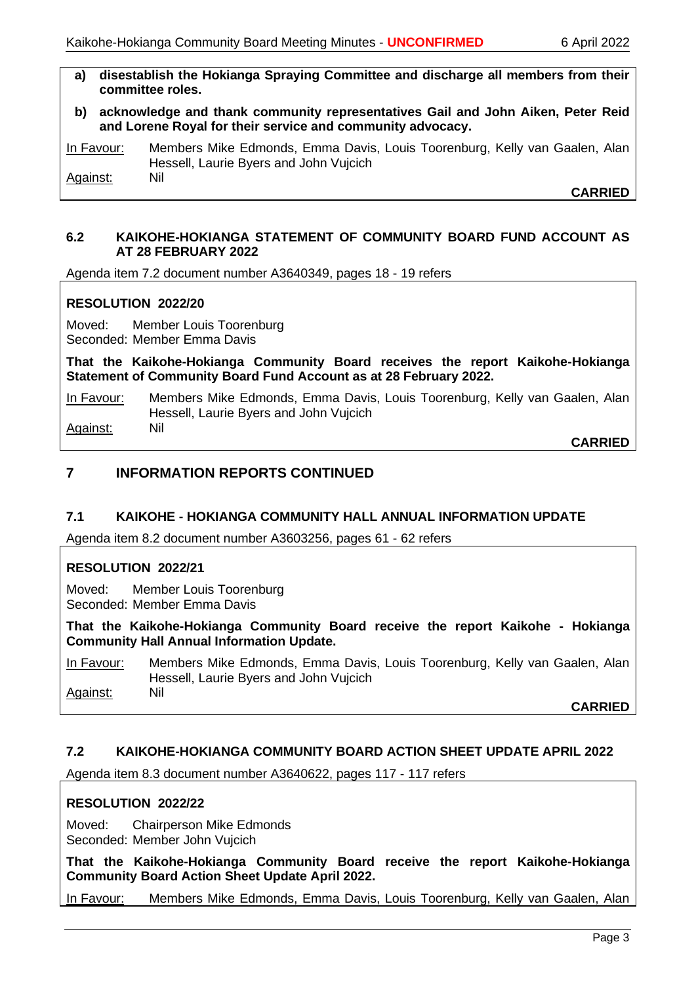- **a) disestablish the Hokianga Spraying Committee and discharge all members from their committee roles.**
- **b) acknowledge and thank community representatives Gail and John Aiken, Peter Reid and Lorene Royal for their service and community advocacy.**

In Favour: Members Mike Edmonds, Emma Davis, Louis Toorenburg, Kelly van Gaalen, Alan Hessell, Laurie Byers and John Vujcich Against: Nil

**CARRIED**

# **6.2 KAIKOHE-HOKIANGA STATEMENT OF COMMUNITY BOARD FUND ACCOUNT AS AT 28 FEBRUARY 2022**

Agenda item 7.2 document number A3640349, pages 18 - 19 refers

# **RESOLUTION 2022/20**

Moved: Member Louis Toorenburg Seconded: Member Emma Davis

**That the Kaikohe-Hokianga Community Board receives the report Kaikohe-Hokianga Statement of Community Board Fund Account as at 28 February 2022.**

In Favour: Members Mike Edmonds, Emma Davis, Louis Toorenburg, Kelly van Gaalen, Alan Hessell, Laurie Byers and John Vujcich Against: Nil

**CARRIED**

# **7 INFORMATION REPORTS CONTINUED**

### **7.1 KAIKOHE - HOKIANGA COMMUNITY HALL ANNUAL INFORMATION UPDATE**

Agenda item 8.2 document number A3603256, pages 61 - 62 refers

### **RESOLUTION 2022/21**

Moved: Member Louis Toorenburg Seconded: Member Emma Davis

**That the Kaikohe-Hokianga Community Board receive the report Kaikohe - Hokianga Community Hall Annual Information Update.**

In Favour: Members Mike Edmonds, Emma Davis, Louis Toorenburg, Kelly van Gaalen, Alan Hessell, Laurie Byers and John Vujcich Against: Nil

**CARRIED**

# **7.2 KAIKOHE-HOKIANGA COMMUNITY BOARD ACTION SHEET UPDATE APRIL 2022**

Agenda item 8.3 document number A3640622, pages 117 - 117 refers

### **RESOLUTION 2022/22**

Moved: Chairperson Mike Edmonds Seconded: Member John Vujcich

**That the Kaikohe-Hokianga Community Board receive the report Kaikohe-Hokianga Community Board Action Sheet Update April 2022.**

In Favour: Members Mike Edmonds, Emma Davis, Louis Toorenburg, Kelly van Gaalen, Alan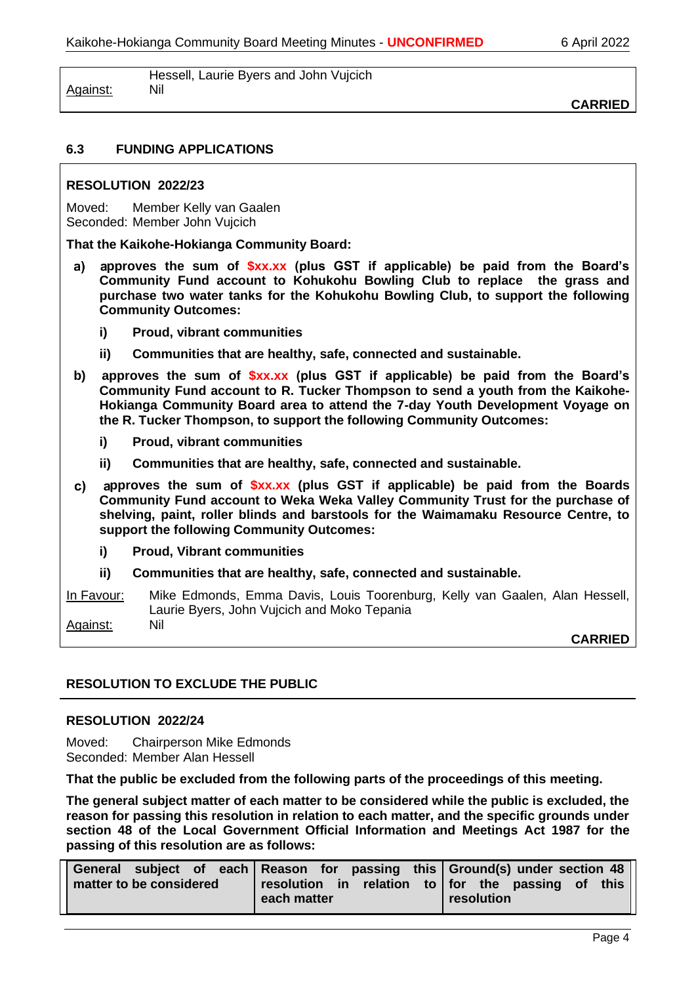|          | Hessell, Laurie Byers and John Vujcich |
|----------|----------------------------------------|
| Against: | <b>Nil</b>                             |

**CARRIED**

# **6.3 FUNDING APPLICATIONS**

### **RESOLUTION 2022/23**

Moved: Member Kelly van Gaalen Seconded: Member John Vujcich

**That the Kaikohe-Hokianga Community Board:**

- **pproves the sum of \$xx.xx (plus GST if applicable) be paid from the Board's**  a) **Community Fund account to Kohukohu Bowling Club to replace the grass and purchase two water tanks for the Kohukohu Bowling Club, to support the following Community Outcomes:**
	- **i) Proud, vibrant communities**
	- **ii) Communities that are healthy, safe, connected and sustainable.**
- **b) approves the sum of \$xx.xx (plus GST if applicable) be paid from the Board's Community Fund account to R. Tucker Thompson to send a youth from the Kaikohe-Hokianga Community Board area to attend the 7-day Youth Development Voyage on the R. Tucker Thompson, to support the following Community Outcomes:**
	- **i) Proud, vibrant communities**
	- **ii) Communities that are healthy, safe, connected and sustainable.**
- **pproves the sum of \$xx.xx (plus GST if applicable) be paid from the Boards Community Fund account to Weka Weka Valley Community Trust for the purchase of shelving, paint, roller blinds and barstools for the Waimamaku Resource Centre, to support the following Community Outcomes:**
	- **i) Proud, Vibrant communities**
	- **ii) Communities that are healthy, safe, connected and sustainable.**

In Favour: Mike Edmonds, Emma Davis, Louis Toorenburg, Kelly van Gaalen, Alan Hessell, Laurie Byers, John Vujcich and Moko Tepania Against: Nil

**CARRIED**

# **RESOLUTION TO EXCLUDE THE PUBLIC**

### **RESOLUTION 2022/24**

Moved: Chairperson Mike Edmonds Seconded: Member Alan Hessell

**That the public be excluded from the following parts of the proceedings of this meeting.**

**The general subject matter of each matter to be considered while the public is excluded, the reason for passing this resolution in relation to each matter, and the specific grounds under section 48 of the Local Government Official Information and Meetings Act 1987 for the passing of this resolution are as follows:**

|                         |             | General subject of each Reason for passing this Ground(s) under section 48 |      |
|-------------------------|-------------|----------------------------------------------------------------------------|------|
| matter to be considered |             | resolution in relation to for the passing of                               | this |
|                         | each matter | resolution                                                                 |      |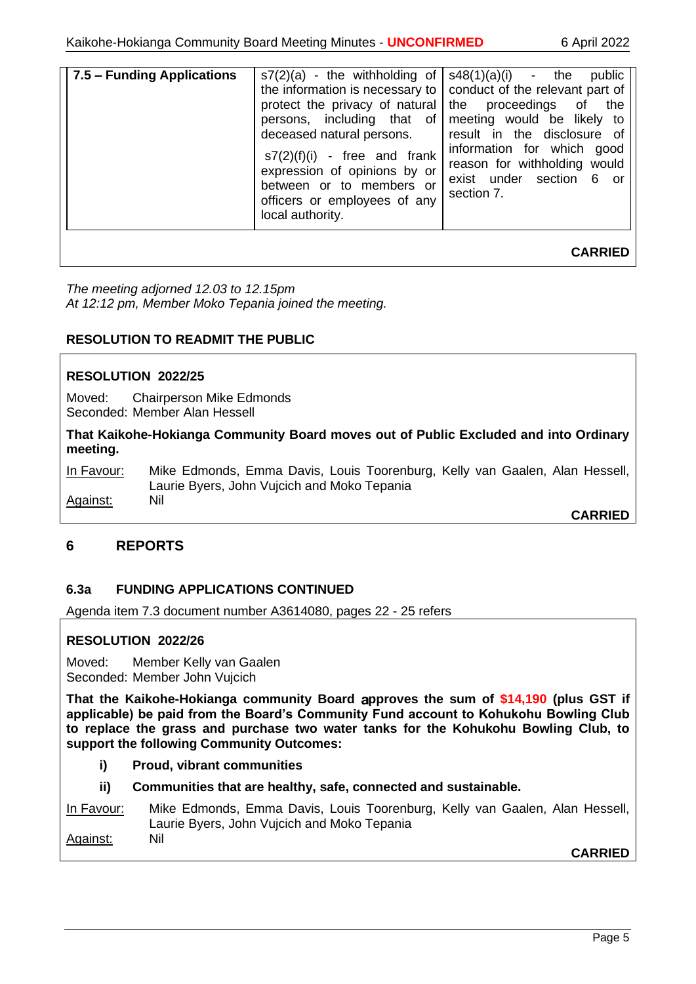| 7.5 – Funding Applications | $s7(2)(a)$ - the withholding of<br>the information is necessary to<br>protect the privacy of natural<br>persons, including that of<br>deceased natural persons.<br>$s7(2)(f)(i)$ - free and frank<br>expression of opinions by or<br>between or to members or<br>officers or employees of any<br>local authority. | $s48(1)(a)(i)$ - the<br>public<br>conduct of the relevant part of<br>proceedings of<br>the<br>the<br>meeting would be likely to<br>result in the disclosure of<br>information for which<br>good<br>reason for withholding would<br>exist under section<br>- 6<br>or o<br>section 7. |
|----------------------------|-------------------------------------------------------------------------------------------------------------------------------------------------------------------------------------------------------------------------------------------------------------------------------------------------------------------|-------------------------------------------------------------------------------------------------------------------------------------------------------------------------------------------------------------------------------------------------------------------------------------|
|                            |                                                                                                                                                                                                                                                                                                                   | <b>CARRIED</b>                                                                                                                                                                                                                                                                      |

*The meeting adjorned 12.03 to 12.15pm At 12:12 pm, Member Moko Tepania joined the meeting.*

# **RESOLUTION TO READMIT THE PUBLIC**

### **RESOLUTION 2022/25**

Moved: Chairperson Mike Edmonds Seconded: Member Alan Hessell

**That Kaikohe-Hokianga Community Board moves out of Public Excluded and into Ordinary meeting.**

In Favour: Mike Edmonds, Emma Davis, Louis Toorenburg, Kelly van Gaalen, Alan Hessell, Laurie Byers, John Vujcich and Moko Tepania Against: Nil

**CARRIED**

# **6 REPORTS**

# **6.3a FUNDING APPLICATIONS CONTINUED**

Agenda item 7.3 document number A3614080, pages 22 - 25 refers

### **RESOLUTION 2022/26**

Moved: Member Kelly van Gaalen Seconded: Member John Vujcich

**That the Kaikohe-Hokianga community Board pproves the sum of \$14,190 (plus GST if applicable) be paid from the Board's Community Fund account to Kohukohu Bowling Club to replace the grass and purchase two water tanks for the Kohukohu Bowling Club, to support the following Community Outcomes:**

- **i) Proud, vibrant communities**
- **ii) Communities that are healthy, safe, connected and sustainable.**

In Favour: Mike Edmonds, Emma Davis, Louis Toorenburg, Kelly van Gaalen, Alan Hessell, Laurie Byers, John Vujcich and Moko Tepania Against: Nil

**CARRIED**